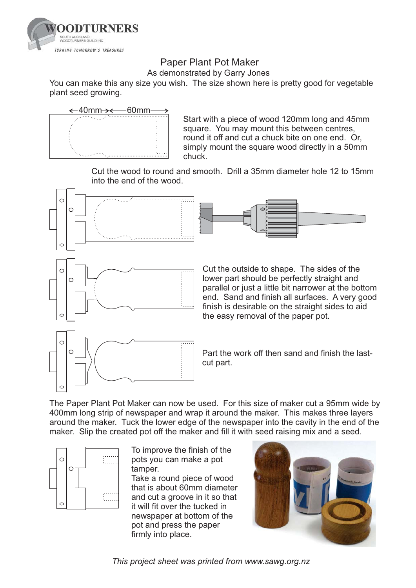

## Paper Plant Pot Maker

As demonstrated by Garry Jones

You can make this any size you wish. The size shown here is pretty good for vegetable plant seed growing.



Start with a piece of wood 120mm long and 45mm square. You may mount this between centres, round it off and cut a chuck bite on one end. Or, simply mount the square wood directly in a 50mm chuck.

Cut the wood to round and smooth. Drill a 35mm diameter hole 12 to 15mm into the end of the wood.



The Paper Plant Pot Maker can now be used. For this size of maker cut a 95mm wide by 400mm long strip of newspaper and wrap it around the maker. This makes three layers around the maker. Tuck the lower edge of the newspaper into the cavity in the end of the maker. Slip the created pot off the maker and fill it with seed raising mix and a seed.



To improve the finish of the pots you can make a pot tamper.

Take a round piece of wood that is about 60mm diameter and cut a groove in it so that it will fit over the tucked in newspaper at bottom of the pot and press the paper firmly into place.



*This project sheet was printed from www.sawg.org.nz*